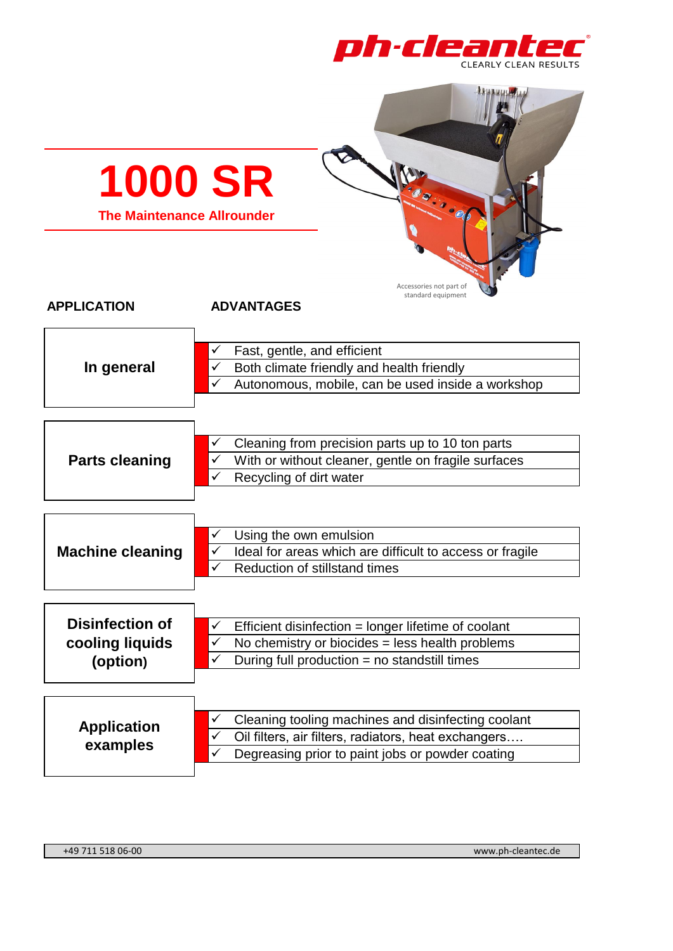

| <b>1000 SR</b><br><b>The Maintenance Allrounder</b>   | 38.496                                                                                                                                                                                                 |
|-------------------------------------------------------|--------------------------------------------------------------------------------------------------------------------------------------------------------------------------------------------------------|
| <b>APPLICATION</b>                                    | Accessories not part of<br>standard equipment<br><b>ADVANTAGES</b>                                                                                                                                     |
| In general                                            | Fast, gentle, and efficient<br>Both climate friendly and health friendly<br>Autonomous, mobile, can be used inside a workshop                                                                          |
| <b>Parts cleaning</b>                                 | Cleaning from precision parts up to 10 ton parts<br>With or without cleaner, gentle on fragile surfaces<br>Recycling of dirt water                                                                     |
| <b>Machine cleaning</b>                               | Using the own emulsion<br>✓<br>Ideal for areas which are difficult to access or fragile<br><b>Reduction of stillstand times</b><br>✓                                                                   |
| <b>Disinfection of</b><br>cooling liquids<br>(option) | Efficient disinfection = longer lifetime of coolant<br>$\checkmark$<br>No chemistry or biocides = less health problems<br>$\checkmark$<br>During full production = no standstill times<br>$\checkmark$ |
| <b>Application</b><br>examples                        | Cleaning tooling machines and disinfecting coolant<br>✓<br>Oil filters, air filters, radiators, heat exchangers<br>✓<br>$\checkmark$<br>Degreasing prior to paint jobs or powder coating               |